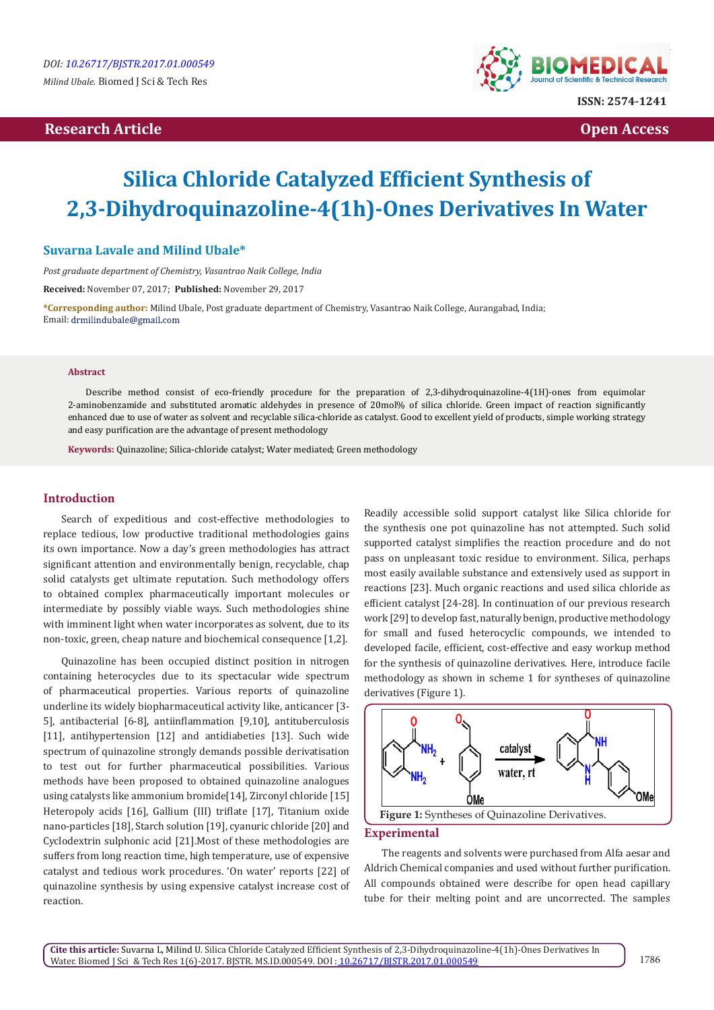# **Research Article Community Community Community Community Community Community Community Community Community Community Community Community Community Community Community Community Community Community Community Community Com**



# **Silica Chloride Catalyzed Efficient Synthesis of 2,3-Dihydroquinazoline-4(1h)-Ones Derivatives In Water**

#### **Suvarna Lavale and Milind Ubale\***

*Post graduate department of Chemistry, Vasantrao Naik College, India*

**Received:** November 07, 2017; **Published:** November 29, 2017

**\*Corresponding author:** Milind Ubale, Post graduate department of Chemistry, Vasantrao Naik College, Aurangabad, India; Email: drmilindubale@gmail.com

#### **Abstract**

Describe method consist of eco-friendly procedure for the preparation of 2,3-dihydroquinazoline-4(1H)-ones from equimolar 2-aminobenzamide and substituted aromatic aldehydes in presence of 20mol% of silica chloride. Green impact of reaction significantly enhanced due to use of water as solvent and recyclable silica-chloride as catalyst. Good to excellent yield of products, simple working strategy and easy purification are the advantage of present methodology

**Keywords:** Quinazoline; Silica-chloride catalyst; Water mediated; Green methodology

#### **Introduction**

Search of expeditious and cost-effective methodologies to replace tedious, low productive traditional methodologies gains its own importance. Now a day's green methodologies has attract significant attention and environmentally benign, recyclable, chap solid catalysts get ultimate reputation. Such methodology offers to obtained complex pharmaceutically important molecules or intermediate by possibly viable ways. Such methodologies shine with imminent light when water incorporates as solvent, due to its non-toxic, green, cheap nature and biochemical consequence [1,2].

Quinazoline has been occupied distinct position in nitrogen containing heterocycles due to its spectacular wide spectrum of pharmaceutical properties. Various reports of quinazoline underline its widely biopharmaceutical activity like, anticancer [3- 5], antibacterial [6-8], antiinflammation [9,10], antituberculosis [11], antihypertension [12] and antidiabeties [13]. Such wide spectrum of quinazoline strongly demands possible derivatisation to test out for further pharmaceutical possibilities. Various methods have been proposed to obtained quinazoline analogues using catalysts like ammonium bromide[14], Zirconyl chloride [15] Heteropoly acids [16], Gallium (III) triflate [17], Titanium oxide nano-particles [18], Starch solution [19], cyanuric chloride [20] and Cyclodextrin sulphonic acid [21].Most of these methodologies are suffers from long reaction time, high temperature, use of expensive catalyst and tedious work procedures. 'On water' reports [22] of quinazoline synthesis by using expensive catalyst increase cost of reaction.

Readily accessible solid support catalyst like Silica chloride for the synthesis one pot quinazoline has not attempted. Such solid supported catalyst simplifies the reaction procedure and do not pass on unpleasant toxic residue to environment. Silica, perhaps most easily available substance and extensively used as support in reactions [23]. Much organic reactions and used silica chloride as efficient catalyst [24-28]. In continuation of our previous research work [29] to develop fast, naturally benign, productive methodology for small and fused heterocyclic compounds, we intended to developed facile, efficient, cost-effective and easy workup method for the synthesis of quinazoline derivatives. Here, introduce facile methodology as shown in scheme 1 for syntheses of quinazoline derivatives (Figure 1).



## **Experimental**

The reagents and solvents were purchased from Alfa aesar and Aldrich Chemical companies and used without further purification. All compounds obtained were describe for open head capillary tube for their melting point and are uncorrected. The samples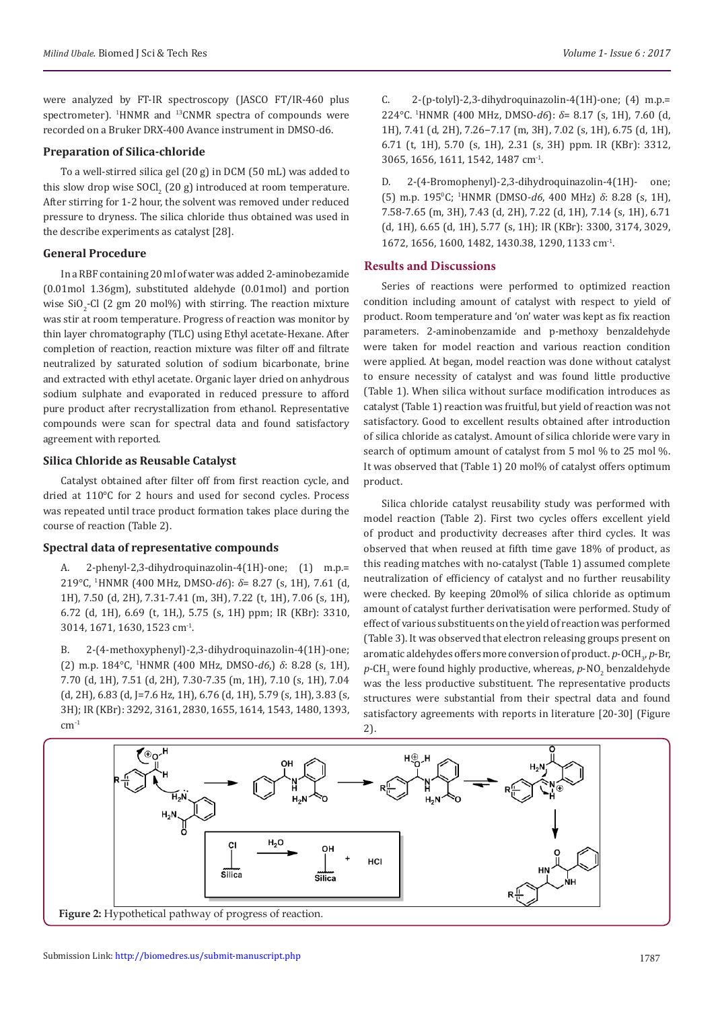were analyzed by FT-IR spectroscopy (JASCO FT/IR-460 plus spectrometer). <sup>1</sup> HNMR and 13CNMR spectra of compounds were recorded on a Bruker DRX-400 Avance instrument in DMSO-d6.

## **Preparation of Silica-chloride**

To a well-stirred silica gel (20 g) in DCM (50 mL) was added to this slow drop wise  $\mathrm{S}\mathrm{O}\mathrm{Cl}_2$  (20 g) introduced at room temperature. After stirring for 1-2 hour, the solvent was removed under reduced pressure to dryness. The silica chloride thus obtained was used in the describe experiments as catalyst [28].

#### **General Procedure**

In a RBF containing 20 ml of water was added 2-aminobezamide (0.01mol 1.36gm), substituted aldehyde (0.01mol) and portion wise  $SiO_2$ -Cl (2 gm 20 mol%) with stirring. The reaction mixture was stir at room temperature. Progress of reaction was monitor by thin layer chromatography (TLC) using Ethyl acetate-Hexane. After completion of reaction, reaction mixture was filter off and filtrate neutralized by saturated solution of sodium bicarbonate, brine and extracted with ethyl acetate. Organic layer dried on anhydrous sodium sulphate and evaporated in reduced pressure to afford pure product after recrystallization from ethanol. Representative compounds were scan for spectral data and found satisfactory agreement with reported.

#### **Silica Chloride as Reusable Catalyst**

Catalyst obtained after filter off from first reaction cycle, and dried at 110°C for 2 hours and used for second cycles. Process was repeated until trace product formation takes place during the course of reaction (Table 2).

#### **Spectral data of representative compounds**

A. 2-phenyl-2,3-dihydroquinazolin-4(1H)-one; (1) m.p.= 219°C, <sup>1</sup> HNMR (400 MHz, DMSO-*d6*): *δ*= 8.27 (s, 1H), 7.61 (d, 1H), 7.50 (d, 2H), 7.31-7.41 (m, 3H), 7.22 (t, 1H), 7.06 (s, 1H), 6.72 (d, 1H), 6.69 (t, 1H,), 5.75 (s, 1H) ppm; IR (KBr): 3310, 3014, 1671, 1630, 1523 cm-1.

B. 2-(4-methoxyphenyl)-2,3-dihydroquinazolin-4(1H)-one; (2) m.p. 184°C, <sup>1</sup> HNMR (400 MHz, DMSO-*d6*,) *δ*: 8.28 (s, 1H), 7.70 (d, 1H), 7.51 (d, 2H), 7.30-7.35 (m, 1H), 7.10 (s, 1H), 7.04 (d, 2H), 6.83 (d, J=7.6 Hz, 1H), 6.76 (d, 1H), 5.79 (s, 1H), 3.83 (s, 3H); IR (KBr): 3292, 3161, 2830, 1655, 1614, 1543, 1480, 1393,  $cm<sup>-1</sup>$ 

C. 2-(p-tolyl)-2,3-dihydroquinazolin-4(1H)-one; (4) m.p.= 224°C. <sup>1</sup> HNMR (400 MHz, DMSO-*d6*): *δ*= 8.17 (s, 1H), 7.60 (d, 1H), 7.41 (d, 2H), 7.26−7.17 (m, 3H), 7.02 (s, 1H), 6.75 (d, 1H), 6.71 (t, 1H), 5.70 (s, 1H), 2.31 (s, 3H) ppm. IR (KBr): 3312, 3065, 1656, 1611, 1542, 1487 cm-1.

D. 2-(4-Bromophenyl)-2,3-dihydroquinazolin-4(1H)- one; (5) m.p. 1950 C; <sup>1</sup> HNMR (DMSO-*d6*, 400 MHz) *δ*: 8.28 (s, 1H), 7.58-7.65 (m, 3H), 7.43 (d, 2H), 7.22 (d, 1H), 7.14 (s, 1H), 6.71 (d, 1H), 6.65 (d, 1H), 5.77 (s, 1H); IR (KBr): 3300, 3174, 3029, 1672, 1656, 1600, 1482, 1430.38, 1290, 1133 cm-1.

#### **Results and Discussions**

Series of reactions were performed to optimized reaction condition including amount of catalyst with respect to yield of product. Room temperature and 'on' water was kept as fix reaction parameters. 2-aminobenzamide and p-methoxy benzaldehyde were taken for model reaction and various reaction condition were applied. At began, model reaction was done without catalyst to ensure necessity of catalyst and was found little productive (Table 1). When silica without surface modification introduces as catalyst (Table 1) reaction was fruitful, but yield of reaction was not satisfactory. Good to excellent results obtained after introduction of silica chloride as catalyst. Amount of silica chloride were vary in search of optimum amount of catalyst from 5 mol % to 25 mol %. It was observed that (Table 1) 20 mol% of catalyst offers optimum product.

Silica chloride catalyst reusability study was performed with model reaction (Table 2). First two cycles offers excellent yield of product and productivity decreases after third cycles. It was observed that when reused at fifth time gave 18% of product, as this reading matches with no-catalyst (Table 1) assumed complete neutralization of efficiency of catalyst and no further reusability were checked. By keeping 20mol% of silica chloride as optimum amount of catalyst further derivatisation were performed. Study of effect of various substituents on the yield of reaction was performed (Table 3). It was observed that electron releasing groups present on aromatic aldehydes offers more conversion of product. *p*-OCH<sub>3</sub>, *p*-Br,  $p$ -CH<sub>3</sub> were found highly productive, whereas,  $p$ -NO<sub>2</sub> benzaldehyde was the less productive substituent. The representative products structures were substantial from their spectral data and found satisfactory agreements with reports in literature [20-30] (Figure 2).

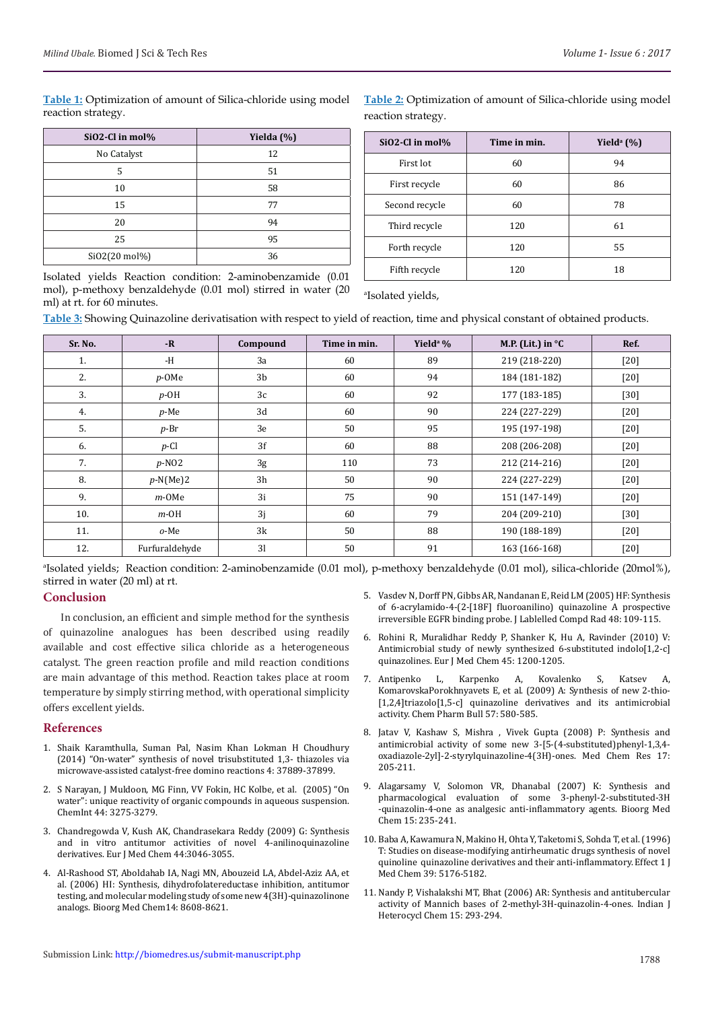**Table 1:** Optimization of amount of Silica-chloride using model reaction strategy.

| SiO2-Cl in mol% | Yielda (%) |
|-----------------|------------|
| No Catalyst     | 12         |
| 5               | 51         |
| 10              | 58         |
| 15              | 77         |
| 20              | 94         |
| 25              | 95         |
| SiO2(20 mol%)   | 36         |

**Table 2:** Optimization of amount of Silica-chloride using model reaction strategy.

| $SiO2$ -Cl in mol% | Time in min. | Yield <sup>a</sup> $(\%)$ |
|--------------------|--------------|---------------------------|
| First lot          | 60           | 94                        |
| First recycle      | 60           | 86                        |
| Second recycle     | 60           | 78                        |
| Third recycle      | 120          | 61                        |
| Forth recycle      | 120          | 55                        |
| Fifth recycle      | 120          | 18                        |

Isolated yields Reaction condition: 2-aminobenzamide (0.01 mol), p-methoxy benzaldehyde (0.01 mol) stirred in water (20 ml) at rt. for 60 minutes.

a Isolated yields,

**Table 3:** Showing Quinazoline derivatisation with respect to yield of reaction, time and physical constant of obtained products.

| Sr. No. | $-R$           | Compound | Time in min. | Yield <sup>a %</sup> | M.P. (Lit.) in $\mathrm{C}$ | Ref.   |
|---------|----------------|----------|--------------|----------------------|-----------------------------|--------|
| 1.      | $-H$           | 3a       | 60           | 89                   | 219 (218-220)               | $[20]$ |
| 2.      | $p$ -OMe       | 3b       | 60           | 94                   | 184 (181-182)               | $[20]$ |
| 3.      | $p$ -OH        | 3c       | 60           | 92                   | 177 (183-185)               | $[30]$ |
| 4.      | $p-Me$         | 3d       | 60           | 90                   | 224 (227-229)               | $[20]$ |
| 5.      | $p-Br$         | 3e       | 50           | 95                   | 195 (197-198)               | $[20]$ |
| 6.      | $p$ -Cl        | 3f       | 60           | 88                   | 208 (206-208)               | $[20]$ |
| 7.      | $p$ -NO2       | 3g       | 110          | 73                   | 212 (214-216)               | $[20]$ |
| 8.      | $p-N(Me)2$     | 3h       | 50           | 90                   | 224 (227-229)               | $[20]$ |
| 9.      | $m$ -OMe       | 3i       | 75           | 90                   | 151 (147-149)               | $[20]$ |
| 10.     | $m$ -OH        | 3j       | 60           | 79                   | 204 (209-210)               | $[30]$ |
| 11.     | o-Me           | 3k       | 50           | 88                   | 190 (188-189)               | $[20]$ |
| 12.     | Furfuraldehyde | 31       | 50           | 91                   | 163 (166-168)               | $[20]$ |

a Isolated yields; Reaction condition: 2-aminobenzamide (0.01 mol), p-methoxy benzaldehyde (0.01 mol), silica-chloride (20mol%), stirred in water (20 ml) at rt.

#### **Conclusion**

In conclusion, an efficient and simple method for the synthesis of quinazoline analogues has been described using readily available and cost effective silica chloride as a heterogeneous catalyst. The green reaction profile and mild reaction conditions are main advantage of this method. Reaction takes place at room temperature by simply stirring method, with operational simplicity offers excellent yields.

#### **References**

- 1. [Shaik Karamthulla, Suman Pal, Nasim Khan Lokman H Choudhury](http://pubs.rsc.org/en/content/articlehtml/2014/ra/c4ra06239f)  [\(2014\) "On-water" synthesis of novel trisubstituted 1,3- thiazoles via](http://pubs.rsc.org/en/content/articlehtml/2014/ra/c4ra06239f)  [microwave-assisted catalyst-free domino reactions 4: 37889-37899.](http://pubs.rsc.org/en/content/articlehtml/2014/ra/c4ra06239f)
- 2. [S Narayan, J Muldoon, MG Finn, VV Fokin, HC Kolbe, et al. \(2005\) "On](https://www.ncbi.nlm.nih.gov/pubmed/15844112)  [water": unique reactivity of organic compounds in aqueous suspension.](https://www.ncbi.nlm.nih.gov/pubmed/15844112)  [ChemInt 44: 3275-3279.](https://www.ncbi.nlm.nih.gov/pubmed/15844112)
- 3. [Chandregowda V, Kush AK, Chandrasekara Reddy \(2009\) G: Synthesis](https://www.ncbi.nlm.nih.gov/pubmed/18771819)  [and in vitro antitumor activities of novel 4-anilinoquinazoline](https://www.ncbi.nlm.nih.gov/pubmed/18771819)  [derivatives. Eur J Med Chem 44:3046-3055.](https://www.ncbi.nlm.nih.gov/pubmed/18771819)
- 4. [Al-Rashood ST, Aboldahab IA, Nagi MN, Abouzeid LA, Abdel-Aziz AA, et](https://www.ncbi.nlm.nih.gov/pubmed/16971132)  [al. \(2006\) HI: Synthesis, dihydrofolatereductase inhibition, antitumor](https://www.ncbi.nlm.nih.gov/pubmed/16971132)  [testing, and molecular modeling study of some new 4\(3H\)-quinazolinone](https://www.ncbi.nlm.nih.gov/pubmed/16971132)  [analogs. Bioorg Med Chem14: 8608-8621.](https://www.ncbi.nlm.nih.gov/pubmed/16971132)
- 5. [Vasdev N, Dorff PN, Gibbs AR, Nandanan E, Reid LM \(2005\) HF: Synthesis](https://www.osti.gov/scitech/servlets/purl/882913-JKPKcc/) [of 6-acrylamido-4-\(2-\[18F\] fluoroanilino\) quinazoline A prospective](https://www.osti.gov/scitech/servlets/purl/882913-JKPKcc/) [irreversible EGFR binding probe. J Lablelled Compd Rad 48: 109-115.](https://www.osti.gov/scitech/servlets/purl/882913-JKPKcc/)
- 6. [Rohini R, Muralidhar Reddy P, Shanker K, Hu A, Ravinder \(2010\) V:](https://www.ncbi.nlm.nih.gov/pubmed/20005020) [Antimicrobial study of newly synthesized 6-substituted indolo\[1,2-c\]](https://www.ncbi.nlm.nih.gov/pubmed/20005020) [quinazolines. Eur J Med Chem 45: 1200-1205.](https://www.ncbi.nlm.nih.gov/pubmed/20005020)
- 7. [Antipenko L, Karpenko A, Kovalenko S, Katsev A,](https://www.ncbi.nlm.nih.gov/pubmed/19483337) [KomarovskaPorokhnyavets E, et al. \(2009\) A: Synthesis of new 2-thio-](https://www.ncbi.nlm.nih.gov/pubmed/19483337) [\[1,2,4\]triazolo\[1,5-c\] quinazoline derivatives and its antimicrobial](https://www.ncbi.nlm.nih.gov/pubmed/19483337) [activity. Chem Pharm Bull 57: 580-585.](https://www.ncbi.nlm.nih.gov/pubmed/19483337)
- 8. [Jatav V, Kashaw S, Mishra , Vivek Gupta \(2008\) P: Synthesis and](https://link.springer.com/article/10.1007/s00044-007-9054-3) [antimicrobial activity of some new 3-\[5-\(4-substituted\)phenyl-1,3,4](https://link.springer.com/article/10.1007/s00044-007-9054-3) [oxadiazole-2yl\]-2-styrylquinazoline-4\(3H\)-ones. Med Chem Res 17:](https://link.springer.com/article/10.1007/s00044-007-9054-3) [205-211.](https://link.springer.com/article/10.1007/s00044-007-9054-3)
- 9. Alagarsamy V, Solomon VR, Dhanabal (2007) K: Synthesis and pharmacological evaluation of some 3-phenyl-2-substituted-3H -quinazolin-4-one as analgesic anti-inflammatory agents. Bioorg Med Chem 15: 235-241.
- 10. [Baba A, Kawamura N, Makino H, Ohta Y, Taketomi S, Sohda T, et al. \(1996\)](https://www.ncbi.nlm.nih.gov/pubmed/8978845) [T: Studies on disease-modifying antirheumatic drugs synthesis of novel](https://www.ncbi.nlm.nih.gov/pubmed/8978845) [quinoline quinazoline derivatives and their anti-inflammatory. Effect 1 J](https://www.ncbi.nlm.nih.gov/pubmed/8978845) [Med Chem 39: 5176-5182.](https://www.ncbi.nlm.nih.gov/pubmed/8978845)
- 11. [Nandy P, Vishalakshi MT, Bhat \(2006\) AR: Synthesis and antitubercular](https://www.scienceopen.com/document?vid=e3e58bea-4f5b-4bf2-ba69-d9b83af491bc) [activity of Mannich bases of 2-methyl-3H-quinazolin-4-ones. Indian J](https://www.scienceopen.com/document?vid=e3e58bea-4f5b-4bf2-ba69-d9b83af491bc) [Heterocycl Chem 15: 293-294.](https://www.scienceopen.com/document?vid=e3e58bea-4f5b-4bf2-ba69-d9b83af491bc)